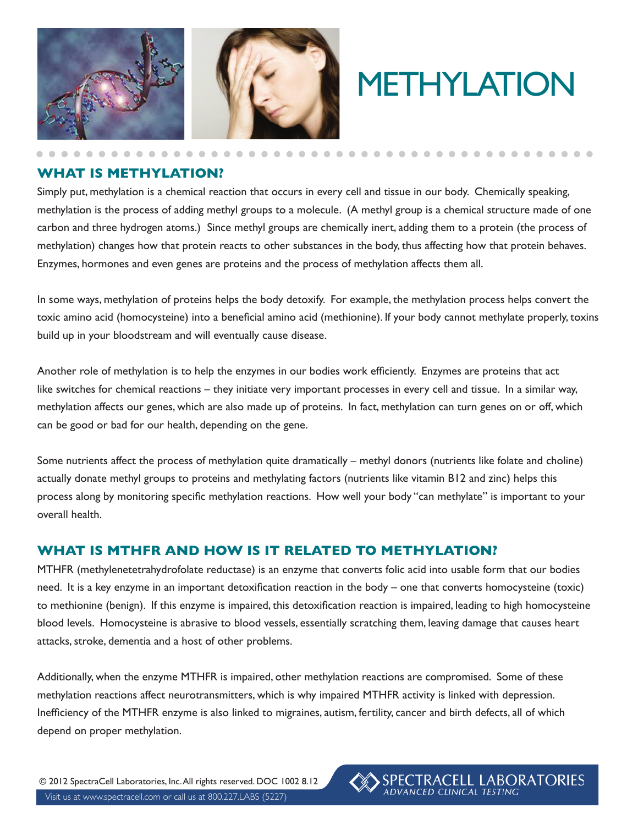

# METHYLATION

SPECTRACELL LABORATORIES<br>ADVANCED CLINICAL TESTING

#### **WHAT IS METHYLATION?**

Simply put, methylation is a chemical reaction that occurs in every cell and tissue in our body. Chemically speaking, methylation is the process of adding methyl groups to a molecule. (A methyl group is a chemical structure made of one carbon and three hydrogen atoms.) Since methyl groups are chemically inert, adding them to a protein (the process of methylation) changes how that protein reacts to other substances in the body, thus affecting how that protein behaves. Enzymes, hormones and even genes are proteins and the process of methylation affects them all.

In some ways, methylation of proteins helps the body detoxify. For example, the methylation process helps convert the toxic amino acid (homocysteine) into a beneficial amino acid (methionine). If your body cannot methylate properly, toxins build up in your bloodstream and will eventually cause disease.

Another role of methylation is to help the enzymes in our bodies work efficiently. Enzymes are proteins that act like switches for chemical reactions – they initiate very important processes in every cell and tissue. In a similar way, methylation affects our genes, which are also made up of proteins. In fact, methylation can turn genes on or off, which can be good or bad for our health, depending on the gene.

Some nutrients affect the process of methylation quite dramatically – methyl donors (nutrients like folate and choline) actually donate methyl groups to proteins and methylating factors (nutrients like vitamin B12 and zinc) helps this process along by monitoring specific methylation reactions. How well your body "can methylate" is important to your overall health.

#### **WHAT IS MTHFR AND HOW IS IT RELATED TO METHYLATION?**

MTHFR (methylenetetrahydrofolate reductase) is an enzyme that converts folic acid into usable form that our bodies need. It is a key enzyme in an important detoxification reaction in the body – one that converts homocysteine (toxic) to methionine (benign). If this enzyme is impaired, this detoxification reaction is impaired, leading to high homocysteine blood levels. Homocysteine is abrasive to blood vessels, essentially scratching them, leaving damage that causes heart attacks, stroke, dementia and a host of other problems.

Additionally, when the enzyme MTHFR is impaired, other methylation reactions are compromised. Some of these methylation reactions affect neurotransmitters, which is why impaired MTHFR activity is linked with depression. Inefficiency of the MTHFR enzyme is also linked to migraines, autism, fertility, cancer and birth defects, all of which depend on proper methylation.

Visit us at www.spectracell.com or call us at 800.227.LABS (5227) © 2012 SpectraCell Laboratories, Inc. All rights reserved. DOC 1002 8.12